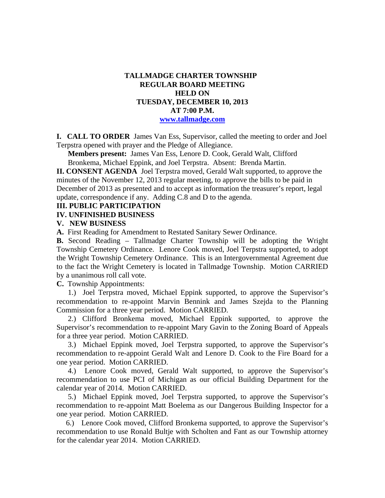## **TALLMADGE CHARTER TOWNSHIP REGULAR BOARD MEETING HELD ON TUESDAY, DECEMBER 10, 2013 AT 7:00 P.M. www.tallmadge.com**

**I. CALL TO ORDER** James Van Ess, Supervisor, called the meeting to order and Joel Terpstra opened with prayer and the Pledge of Allegiance.

**Members present:** James Van Ess, Lenore D. Cook, Gerald Walt, Clifford Bronkema, Michael Eppink, and Joel Terpstra. Absent: Brenda Martin.

**II. CONSENT AGENDA** Joel Terpstra moved, Gerald Walt supported, to approve the minutes of the November 12, 2013 regular meeting, to approve the bills to be paid in December of 2013 as presented and to accept as information the treasurer's report, legal update, correspondence if any. Adding C.8 and D to the agenda.

### **III. PUBLIC PARTICIPATION**

### **IV. UNFINISHED BUSINESS**

#### **V. NEW BUSINESS**

**A.** First Reading for Amendment to Restated Sanitary Sewer Ordinance.

**B.** Second Reading – Tallmadge Charter Township will be adopting the Wright Township Cemetery Ordinance. Lenore Cook moved, Joel Terpstra supported, to adopt the Wright Township Cemetery Ordinance. This is an Intergovernmental Agreement due to the fact the Wright Cemetery is located in Tallmadge Township. Motion CARRIED by a unanimous roll call vote.

**C.** Township Appointments:

 1.) Joel Terpstra moved, Michael Eppink supported, to approve the Supervisor's recommendation to re-appoint Marvin Bennink and James Szejda to the Planning Commission for a three year period. Motion CARRIED.

 2.) Clifford Bronkema moved, Michael Eppink supported, to approve the Supervisor's recommendation to re-appoint Mary Gavin to the Zoning Board of Appeals for a three year period. Motion CARRIED.

 3.) Michael Eppink moved, Joel Terpstra supported, to approve the Supervisor's recommendation to re-appoint Gerald Walt and Lenore D. Cook to the Fire Board for a one year period. Motion CARRIED.

 4.) Lenore Cook moved, Gerald Walt supported, to approve the Supervisor's recommendation to use PCI of Michigan as our official Building Department for the calendar year of 2014. Motion CARRIED.

 5.) Michael Eppink moved, Joel Terpstra supported, to approve the Supervisor's recommendation to re-appoint Matt Boelema as our Dangerous Building Inspector for a one year period. Motion CARRIED.

 6.) Lenore Cook moved, Clifford Bronkema supported, to approve the Supervisor's recommendation to use Ronald Bultje with Scholten and Fant as our Township attorney for the calendar year 2014. Motion CARRIED.